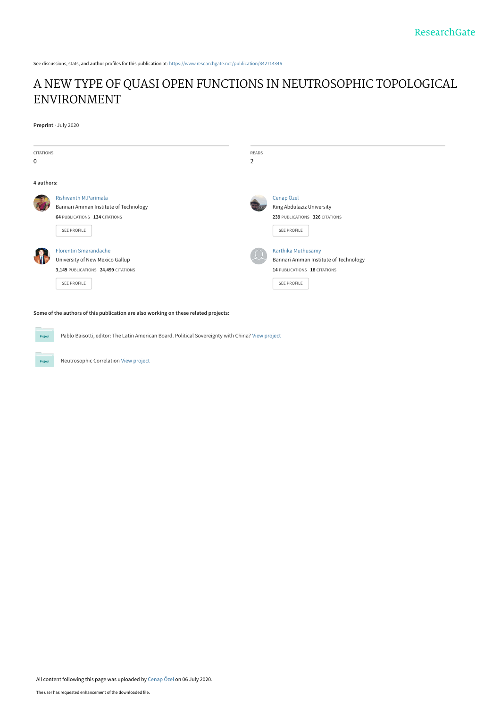See discussions, stats, and author profiles for this publication at: [https://www.researchgate.net/publication/342714346](https://www.researchgate.net/publication/342714346_A_NEW_TYPE_OF_QUASI_OPEN_FUNCTIONS_IN_NEUTROSOPHIC_TOPOLOGICAL_ENVIRONMENT?enrichId=rgreq-845c5c3a74916481d676de0b827fcfef-XXX&enrichSource=Y292ZXJQYWdlOzM0MjcxNDM0NjtBUzo5MTAyNzgwNDg4ODI2ODhAMTU5NDAzODYwNzE1MQ%3D%3D&el=1_x_2&_esc=publicationCoverPdf)

## [A NEW TYPE OF QUASI OPEN FUNCTIONS IN NEUTROSOPHIC TOPOLOGICAL](https://www.researchgate.net/publication/342714346_A_NEW_TYPE_OF_QUASI_OPEN_FUNCTIONS_IN_NEUTROSOPHIC_TOPOLOGICAL_ENVIRONMENT?enrichId=rgreq-845c5c3a74916481d676de0b827fcfef-XXX&enrichSource=Y292ZXJQYWdlOzM0MjcxNDM0NjtBUzo5MTAyNzgwNDg4ODI2ODhAMTU5NDAzODYwNzE1MQ%3D%3D&el=1_x_3&_esc=publicationCoverPdf) ENVIRONMENT

**Preprint** · July 2020

| <b>CITATIONS</b> |                                       | <b>READS</b> |                                       |
|------------------|---------------------------------------|--------------|---------------------------------------|
| $\mathbf 0$      |                                       | 2            |                                       |
| 4 authors:       |                                       |              |                                       |
|                  | <b>Rishwanth M.Parimala</b>           |              | Cenap Özel                            |
|                  | Bannari Amman Institute of Technology |              | King Abdulaziz University             |
|                  | 64 PUBLICATIONS 134 CITATIONS         |              | 239 PUBLICATIONS 326 CITATIONS        |
|                  | <b>SEE PROFILE</b>                    |              | SEE PROFILE                           |
|                  | <b>Florentin Smarandache</b>          |              | Karthika Muthusamy                    |
|                  | University of New Mexico Gallup       |              | Bannari Amman Institute of Technology |
|                  | 3,149 PUBLICATIONS 24,499 CITATIONS   |              | 14 PUBLICATIONS 18 CITATIONS          |
|                  | <b>SEE PROFILE</b>                    |              | SEE PROFILE                           |
|                  |                                       |              |                                       |

#### **Some of the authors of this publication are also working on these related projects:**

Pablo Baisotti, editor: The Latin American Board. Political Sovereignty with China? [View project](https://www.researchgate.net/project/Pablo-Baisotti-editor-The-Latin-American-Board-Political-Sovereignty-with-China?enrichId=rgreq-845c5c3a74916481d676de0b827fcfef-XXX&enrichSource=Y292ZXJQYWdlOzM0MjcxNDM0NjtBUzo5MTAyNzgwNDg4ODI2ODhAMTU5NDAzODYwNzE1MQ%3D%3D&el=1_x_9&_esc=publicationCoverPdf) **Project** 

Neutrosophic Correlation [View project](https://www.researchgate.net/project/Neutrosophic-Correlation?enrichId=rgreq-845c5c3a74916481d676de0b827fcfef-XXX&enrichSource=Y292ZXJQYWdlOzM0MjcxNDM0NjtBUzo5MTAyNzgwNDg4ODI2ODhAMTU5NDAzODYwNzE1MQ%3D%3D&el=1_x_9&_esc=publicationCoverPdf)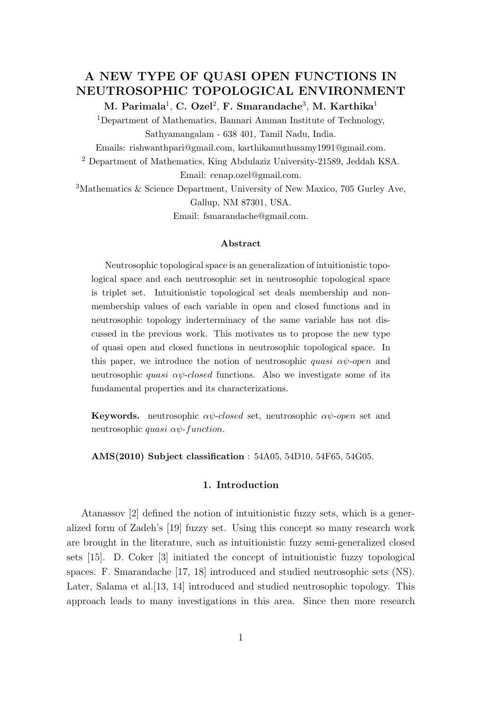## A NEW TYPE OF QUASI OPEN FUNCTIONS IN NEUTROSOPHIC TOPOLOGICAL ENVIRONMENT

M. Parimala $^1$ , C. Ozel $^2$ , F. Smarandache $^3$ , M. Karthika $^1$ 

<sup>1</sup>Department of Mathematics, Bannari Amman Institute of Technology, Sathyamangalam - 638 401, Tamil Nadu, India.

Emails: rishwanthpari@gmail.com, karthikamuthusamy1991@gmail.com.

<sup>2</sup> Department of Mathematics, King Abdulaziz University-21589, Jeddah KSA.

Email: cenap.ozel@gmail.com.

<sup>3</sup>Mathematics & Science Department, University of New Maxico, 705 Gurley Ave, Gallup, NM 87301, USA.

Email: fsmarandache@gmail.com.

#### Abstract

Neutrosophic topological space is an generalization of intuitionistic topological space and each neutrosophic set in neutrosophic topological space is triplet set. Intuitionistic topological set deals membership and nonmembership values of each variable in open and closed functions and in neutrosophic topology inderterminacy of the same variable has not discussed in the previous work. This motivates us to propose the new type of quasi open and closed functions in neutrosophic topological space. In this paper, we introduce the notion of neutrosophic quasi  $\alpha\psi$ -open and neutrosophic *quasi*  $\alpha\psi$ -closed functions. Also we investigate some of its fundamental properties and its characterizations.

**Keywords.** neutrosophic  $\alpha\psi$ -closed set, neutrosophic  $\alpha\psi$ -open set and neutrosophic *quasi*  $\alpha \psi$ *-function*.

AMS(2010) Subject classification : 54A05, 54D10, 54F65, 54G05.

### 1. Introduction

Atanassov [2] defined the notion of intuitionistic fuzzy sets, which is a generalized form of Zadeh's [19] fuzzy set. Using this concept so many research work are brought in the literature, such as intuitionistic fuzzy semi-generalized closed sets [15]. D. Coker [3] initiated the concept of intuitionistic fuzzy topological spaces. F. Smarandache [17, 18] introduced and studied neutrosophic sets (NS). Later, Salama et al. [13, 14] introduced and studied neutrosophic topology. This approach leads to many investigations in this area. Since then more research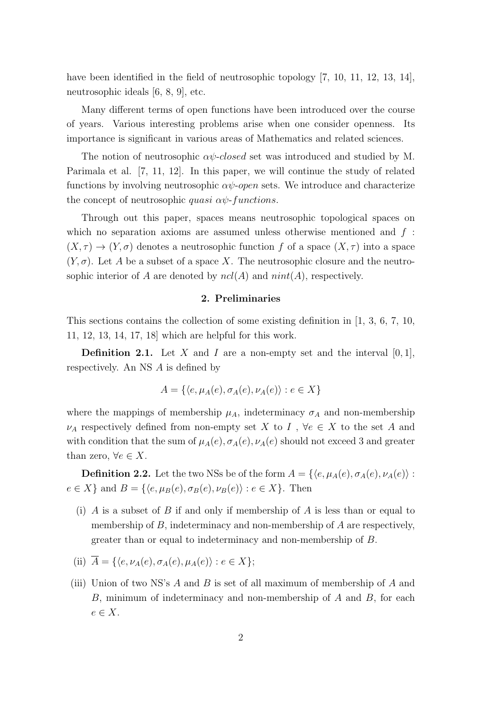have been identified in the field of neutrosophic topology [7, 10, 11, 12, 13, 14], neutrosophic ideals [6, 8, 9], etc.

Many different terms of open functions have been introduced over the course of years. Various interesting problems arise when one consider openness. Its importance is significant in various areas of Mathematics and related sciences.

The notion of neutrosophic  $\alpha\psi$ -closed set was introduced and studied by M. Parimala et al. [7, 11, 12]. In this paper, we will continue the study of related functions by involving neutrosophic  $\alpha\psi$ -open sets. We introduce and characterize the concept of neutrosophic *quasi*  $\alpha \psi$ *-functions*.

Through out this paper, spaces means neutrosophic topological spaces on which no separation axioms are assumed unless otherwise mentioned and  $f$ :  $(X, \tau) \to (Y, \sigma)$  denotes a neutrosophic function f of a space  $(X, \tau)$  into a space  $(Y, \sigma)$ . Let A be a subset of a space X. The neutrosophic closure and the neutrosophic interior of A are denoted by  $ncl(A)$  and  $nint(A)$ , respectively.

#### 2. Preliminaries

This sections contains the collection of some existing definition in [1, 3, 6, 7, 10, 11, 12, 13, 14, 17, 18] which are helpful for this work.

**Definition 2.1.** Let X and I are a non-empty set and the interval  $[0, 1]$ , respectively. An NS A is defined by

$$
A = \{ \langle e, \mu_A(e), \sigma_A(e), \nu_A(e) \rangle : e \in X \}
$$

where the mappings of membership  $\mu_A$ , indeterminacy  $\sigma_A$  and non-membership  $\nu_A$  respectively defined from non-empty set X to I,  $\forall e \in X$  to the set A and with condition that the sum of  $\mu_A(e), \sigma_A(e), \nu_A(e)$  should not exceed 3 and greater than zero,  $\forall e \in X$ .

**Definition 2.2.** Let the two NSs be of the form  $A = \{ \langle e, \mu_A(e), \sigma_A(e), \nu_A(e) \rangle :$  $e \in X$  and  $B = \{ \langle e, \mu_B(e), \sigma_B(e), \nu_B(e) \rangle : e \in X \}.$  Then

- (i) A is a subset of B if and only if membership of A is less than or equal to membership of  $B$ , indeterminacy and non-membership of  $A$  are respectively, greater than or equal to indeterminacy and non-membership of B.
- (ii)  $\overline{A} = \{ \langle e, \nu_A(e), \sigma_A(e), \mu_A(e) \rangle : e \in X \};$
- (iii) Union of two NS's  $A$  and  $B$  is set of all maximum of membership of  $A$  and  $B$ , minimum of indeterminacy and non-membership of  $A$  and  $B$ , for each  $e \in X$ .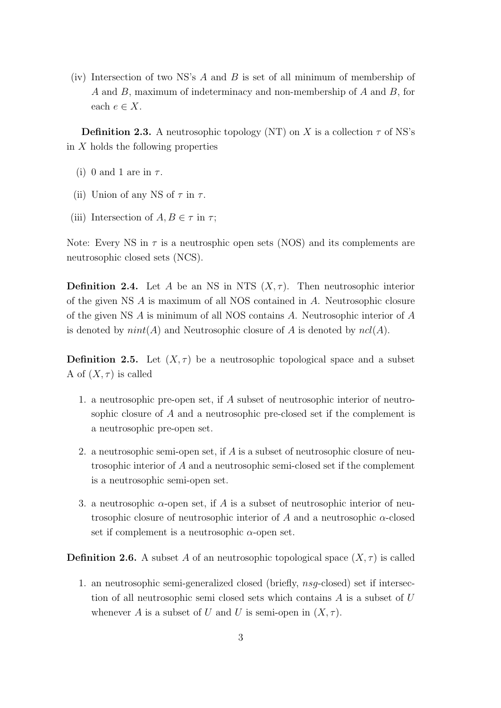(iv) Intersection of two NS's  $A$  and  $B$  is set of all minimum of membership of A and B, maximum of indeterminacy and non-membership of A and B, for each  $e \in X$ .

**Definition 2.3.** A neutrosophic topology (NT) on X is a collection  $\tau$  of NS's in  $X$  holds the following properties

- (i) 0 and 1 are in  $\tau$ .
- (ii) Union of any NS of  $\tau$  in  $\tau$ .
- (iii) Intersection of  $A, B \in \tau$  in  $\tau$ ;

Note: Every NS in  $\tau$  is a neutrosphic open sets (NOS) and its complements are neutrosophic closed sets (NCS).

**Definition 2.4.** Let A be an NS in NTS  $(X, \tau)$ . Then neutrosophic interior of the given NS A is maximum of all NOS contained in A. Neutrosophic closure of the given NS A is minimum of all NOS contains A. Neutrosophic interior of A is denoted by  $nint(A)$  and Neutrosophic closure of A is denoted by  $ncl(A)$ .

**Definition 2.5.** Let  $(X, \tau)$  be a neutrosophic topological space and a subset A of  $(X, \tau)$  is called

- 1. a neutrosophic pre-open set, if A subset of neutrosophic interior of neutrosophic closure of A and a neutrosophic pre-closed set if the complement is a neutrosophic pre-open set.
- 2. a neutrosophic semi-open set, if A is a subset of neutrosophic closure of neutrosophic interior of A and a neutrosophic semi-closed set if the complement is a neutrosophic semi-open set.
- 3. a neutrosophic  $\alpha$ -open set, if A is a subset of neutrosophic interior of neutrosophic closure of neutrosophic interior of A and a neutrosophic  $\alpha$ -closed set if complement is a neutrosophic  $\alpha$ -open set.

**Definition 2.6.** A subset A of an neutrosophic topological space  $(X, \tau)$  is called

1. an neutrosophic semi-generalized closed (briefly, nsg-closed) set if intersection of all neutrosophic semi closed sets which contains  $A$  is a subset of  $U$ whenever A is a subset of U and U is semi-open in  $(X, \tau)$ .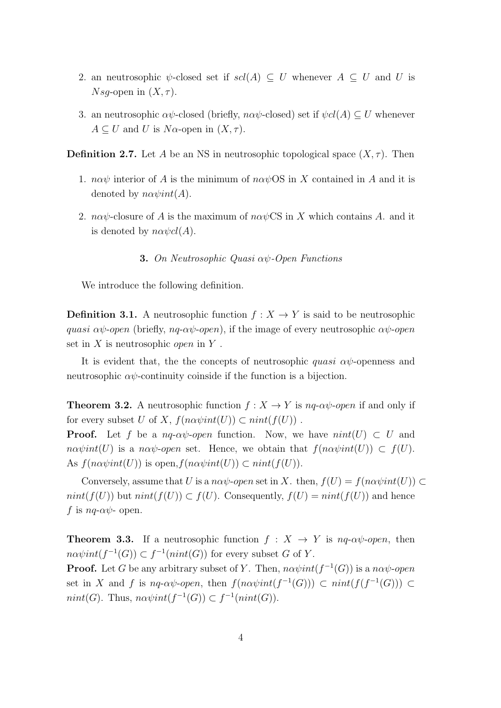- 2. an neutrosophic  $\psi$ -closed set if  $scl(A) \subseteq U$  whenever  $A \subseteq U$  and U is *Nsq*-open in  $(X, \tau)$ .
- 3. an neutrosophic  $\alpha\psi$ -closed (briefly,  $n\alpha\psi$ -closed) set if  $\psi cl(A) \subseteq U$  whenever  $A \subseteq U$  and U is N $\alpha$ -open in  $(X, \tau)$ .

**Definition 2.7.** Let A be an NS in neutrosophic topological space  $(X, \tau)$ . Then

- 1.  $n\alpha\psi$  interior of A is the minimum of  $n\alpha\psi$ OS in X contained in A and it is denoted by  $n\alpha \psi int(A)$ .
- 2.  $n\alpha\psi$ -closure of A is the maximum of  $n\alpha\psi$ CS in X which contains A. and it is denoted by  $n\alpha \psi cl(A)$ .

#### 3. On Neutrosophic Quasi αψ-Open Functions

We introduce the following definition.

**Definition 3.1.** A neutrosophic function  $f : X \to Y$  is said to be neutrosophic quasi  $\alpha\psi$ -open (briefly,  $nq$ - $\alpha\psi$ -open), if the image of every neutrosophic  $\alpha\psi$ -open set in  $X$  is neutrosophic *open* in  $Y$ .

It is evident that, the the concepts of neutrosophic *quasi*  $\alpha\psi$ -openness and neutrosophic  $\alpha\psi$ -continuity coinside if the function is a bijection.

**Theorem 3.2.** A neutrosophic function  $f : X \to Y$  is  $nq \text{-} \alpha \psi \text{-} open$  if and only if for every subset U of X,  $f(n\alpha\psi int(U)) \subset nint(f(U))$ .

**Proof.** Let f be a nq- $\alpha\psi$ -open function. Now, we have  $nint(U) \subset U$  and  $n\alpha\psi\text{int}(U)$  is a n $\alpha\psi$ -open set. Hence, we obtain that  $f(n\alpha\psi\text{int}(U)) \subset f(U)$ . As  $f(n\alpha\psi int(U))$  is open,  $f(n\alpha\psi int(U)) \subset nint(f(U))$ .

Conversely, assume that U is a na $\psi$ -open set in X. then,  $f(U) = f(n\alpha\psi int(U)) \subset$  $nint(f(U))$  but  $nint(f(U)) \subset f(U)$ . Consequently,  $f(U) = nint(f(U))$  and hence f is  $nq-\alpha\psi$ - open.

**Theorem 3.3.** If a neutrosophic function  $f : X \to Y$  is  $nq \text{-} \alpha \psi \text{-} open$ , then  $n\alpha\psi int(f^{-1}(G)) \subset f^{-1}(nint(G))$  for every subset G of Y. **Proof.** Let G be any arbitrary subset of Y. Then,  $n\alpha\psi int(f^{-1}(G))$  is a  $n\alpha\psi$ -open set in X and f is  $nq$ - $\alpha\psi$ -open, then  $f(n\alpha\psi int(f^{-1}(G))) \subset init(f(f^{-1}(G))) \subset$  $nint(G)$ . Thus,  $n\alpha\psi int(f^{-1}(G)) \subset f^{-1}(nint(G))$ .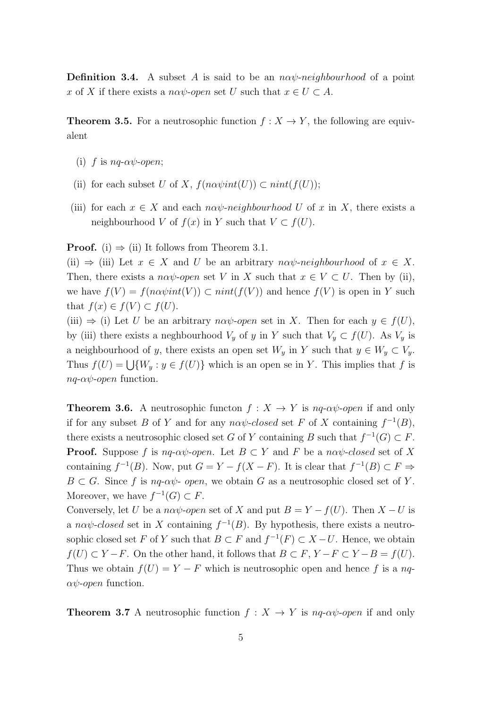**Definition 3.4.** A subset A is said to be an  $n\alpha\psi$ -neighbourhood of a point x of X if there exists a na $\psi$ -open set U such that  $x \in U \subset A$ .

**Theorem 3.5.** For a neutrosophic function  $f : X \to Y$ , the following are equivalent

- (i) f is  $nq$ - $\alpha\psi$ -open;
- (ii) for each subset U of X,  $f(n\alpha\psi int(U)) \subset nint(f(U));$
- (iii) for each  $x \in X$  and each  $n\alpha\psi$ -neighbourhood U of x in X, there exists a neighbourhood V of  $f(x)$  in Y such that  $V \subset f(U)$ .

**Proof.** (i)  $\Rightarrow$  (ii) It follows from Theorem 3.1.

(ii)  $\Rightarrow$  (iii) Let  $x \in X$  and U be an arbitrary nav-neighbourhood of  $x \in X$ . Then, there exists a na $\psi$ -open set V in X such that  $x \in V \subset U$ . Then by (ii), we have  $f(V) = f(n\alpha\psi int(V)) \subset nint(f(V))$  and hence  $f(V)$  is open in Y such that  $f(x) \in f(V) \subset f(U)$ .

(iii)  $\Rightarrow$  (i) Let U be an arbitrary na $\psi$ -open set in X. Then for each  $y \in f(U)$ , by (iii) there exists a neghbourhood  $V_y$  of y in Y such that  $V_y \subset f(U)$ . As  $V_y$  is a neighbourhood of y, there exists an open set  $W_y$  in Y such that  $y \in W_y \subset V_y$ . Thus  $f(U) = \bigcup \{W_y : y \in f(U)\}\$  which is an open se in Y. This implies that f is  $nq-\alpha\psi$ -open function.

**Theorem 3.6.** A neutrosophic functon  $f : X \to Y$  is  $nq \text{-} \alpha \psi \text{-} open$  if and only if for any subset B of Y and for any  $n\alpha\psi$ -closed set F of X containing  $f^{-1}(B)$ , there exists a neutrosophic closed set G of Y containing B such that  $f^{-1}(G) \subset F$ . **Proof.** Suppose f is  $nq$ - $\alpha\psi$ -open. Let  $B \subset Y$  and F be a  $n\alpha\psi$ -closed set of X containing  $f^{-1}(B)$ . Now, put  $G = Y - f(X - F)$ . It is clear that  $f^{-1}(B) \subset F \Rightarrow$  $B \subset G$ . Since f is nq- $\alpha\psi$ - open, we obtain G as a neutrosophic closed set of Y. Moreover, we have  $f^{-1}(G) \subset F$ .

Conversely, let U be a naw-open set of X and put  $B = Y - f(U)$ . Then  $X - U$  is a na $\psi$ -closed set in X containing  $f^{-1}(B)$ . By hypothesis, there exists a neutrosophic closed set F of Y such that  $B \subset F$  and  $f^{-1}(F) \subset X-U$ . Hence, we obtain  $f(U) \subset Y - F$ . On the other hand, it follows that  $B \subset F$ ,  $Y - F \subset Y - B = f(U)$ . Thus we obtain  $f(U) = Y - F$  which is neutrosophic open and hence f is a nq- $\alpha\psi$ -open function.

**Theorem 3.7** A neutrosophic function  $f: X \to Y$  is  $nq \text{-} \alpha \psi \text{-} open$  if and only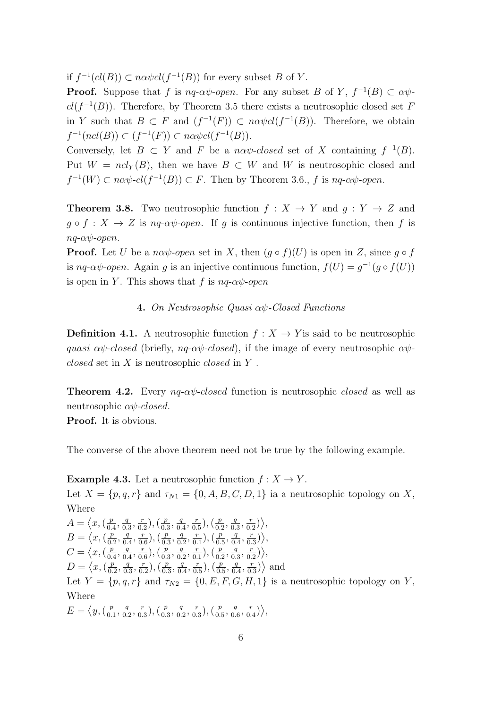if  $f^{-1}(cl(B)) \subset n\alpha \psi cl(f^{-1}(B))$  for every subset B of Y.

**Proof.** Suppose that f is  $nq$ - $\alpha\psi$ -open. For any subset B of Y,  $f^{-1}(B) \subset \alpha\psi$  $cl(f^{-1}(B))$ . Therefore, by Theorem 3.5 there exists a neutrosophic closed set F in Y such that  $B \subset F$  and  $(f^{-1}(F)) \subset n\alpha\psi cl(f^{-1}(B))$ . Therefore, we obtain  $f^{-1}(ncl(B)) \subset (f^{-1}(F)) \subset n\alpha \psi cl(f^{-1}(B)).$ 

Conversely, let  $B \subset Y$  and F be a nav-closed set of X containing  $f^{-1}(B)$ . Put  $W = ncl_Y(B)$ , then we have  $B \subset W$  and W is neutrosophic closed and  $f^{-1}(W) \subset n\alpha\psi$ - $cl(f^{-1}(B)) \subset F$ . Then by Theorem 3.6., f is  $nq$ - $\alpha\psi$ -open.

**Theorem 3.8.** Two neutrosophic function  $f : X \to Y$  and  $q : Y \to Z$  and  $g \circ f : X \to Z$  is  $nq\text{-}\alpha\psi\text{-}open$ . If g is continuous injective function, then f is  $na-\alpha\psi$ -open.

**Proof.** Let U be a na $\psi$ -open set in X, then  $(g \circ f)(U)$  is open in Z, since  $g \circ f$ is nq- $\alpha\psi$ -open. Again g is an injective continuous function,  $f(U) = g^{-1}(g \circ f(U))$ is open in Y. This shows that f is  $nq$ - $\alpha\psi$ -open

### 4. On Neutrosophic Quasi αψ-Closed Functions

**Definition 4.1.** A neutrosophic function  $f: X \to Y$  is said to be neutrosophic quasi  $\alpha\psi$ -closed (briefly, nq- $\alpha\psi$ -closed), if the image of every neutrosophic  $\alpha\psi$ *closed* set in  $X$  is neutrosophic *closed* in  $Y$ .

**Theorem 4.2.** Every  $nq$ - $\alpha\psi$ -closed function is neutrosophic closed as well as neutrosophic  $\alpha\psi$ -closed.

Proof. It is obvious.

The converse of the above theorem need not be true by the following example.

**Example 4.3.** Let a neutrosophic function  $f : X \to Y$ . Let  $X = \{p, q, r\}$  and  $\tau_{N1} = \{0, A, B, C, D, 1\}$  ia a neutrosophic topology on X, Where  $A = \langle x, (\frac{p}{0} \rangle)$  $\frac{p}{0.4}, \frac{q}{0.}$  $\frac{q}{0.3}, \frac{r}{0.}$  $(\frac{r}{0.2})$ ,  $(\frac{p}{0.2})$  $\frac{p}{0.3}, \frac{q}{0.}$  $\frac{q}{0.4}, \frac{r}{0.}$  $(\frac{r}{0.5})$ ,  $(\frac{p}{0.5})$  $\frac{p}{0.2}, \frac{q}{0.}$  $\frac{q}{0.3}, \frac{r}{0.}$  $\frac{r}{0.2}\big)\Big\rangle,$  $B = \langle x, (\frac{p}{p}) \rangle$  $\frac{p}{0.2}, \frac{q}{0.}$  $\frac{q}{0.4}, \frac{r}{0.}$  $(\frac{r}{0.6})$ ,  $(\frac{p}{0.9})$  $\frac{p}{0.3}, \frac{q}{0.}$  $\frac{q}{0.2}, \frac{r}{0.}$  $(\frac{r}{0.1}),(\frac{p}{0.1})$  $\frac{p}{0.5}, \frac{q}{0.}$  $\frac{q}{0.4}, \frac{r}{0.}$  $\frac{r}{0.3})\Big\rangle,$  $C = \langle x, (\frac{p}{p}\rangle)$  $\frac{p}{0.4}, \frac{q}{0.}$  $\frac{q}{0.4}, \frac{r}{0.4}$  $(\frac{r}{0.6})$ ,  $(\frac{p}{0.5})$  $\frac{p}{0.3}, \frac{q}{0.}$  $\frac{q}{0.2}, \frac{r}{0.}$  $(\frac{r}{0.1}),(\frac{p}{0.1})$  $\frac{p}{0.2}, \frac{q}{0.}$  $\frac{q}{0.3}, \frac{r}{0.}$  $\frac{r}{0.2}\rangle\Big\rangle,$  $D = \langle x, (\frac{p}{0})\rangle$  $\frac{p}{0.2}, \frac{q}{0.}$  $\frac{q}{0.3}, \frac{r}{0.5}$  $(\frac{r}{0.2})$ ,  $(\frac{p}{0.2})$  $\frac{p}{0.3}, \frac{q}{0.}$  $\frac{q}{0.4}, \frac{r}{0.}$  $(\frac{r}{0.5}),(\frac{p}{0.5})$  $\frac{p}{0.5}, \frac{q}{0.}$  $\frac{q}{0.4}, \frac{r}{0.}$  $\frac{r}{0.3}$  $\rangle$  and Let  $Y = \{p, q, r\}$  and  $\tau_{N2} = \{0, E, F, G, H, 1\}$  is a neutrosophic topology on Y, Where  $E = \langle y, (\frac{p}{0}$  $\frac{p}{0.1}, \frac{q}{0.}$  $\frac{q}{0.2}, \frac{r}{0.}$  $(\frac{r}{0.3}),(\frac{p}{0.3})$  $\frac{p}{0.3}, \frac{q}{0.}$  $\frac{q}{0.2}, \frac{r}{0.}$  $(\frac{r}{0.3}),(\frac{p}{0.3})$  $\frac{p}{0.5}, \frac{q}{0.}$  $\frac{q}{0.6}, \frac{r}{0.}$  $\frac{r}{0.4})\Big\rangle,$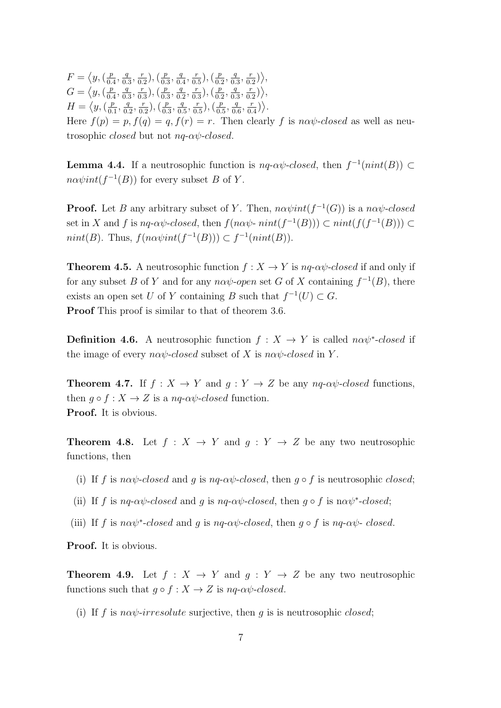$F = \langle y, (\frac{p}{p}\rangle)$  $\frac{p}{0.4}, \frac{q}{0.}$  $\frac{q}{0.3}, \frac{r}{0.}$  $(\frac{r}{0.2}),(\frac{p}{0.2})$  $\frac{p}{0.3}, \frac{q}{0.}$  $\frac{q}{0.4}, \frac{r}{0.}$  $(\frac{r}{0.5}),(\frac{p}{0.5})$  $\frac{p}{0.2}, \frac{q}{0.}$  $\frac{q}{0.3}, \frac{r}{0.}$  $\frac{r}{0.2}\rangle\rangle,$  $G = \langle y, (\frac{p}{0})\rangle$  $\frac{p}{0.4}, \frac{q}{0.}$  $\frac{q}{0.3}, \frac{r}{0.}$  $(\frac{r}{0.3})$ ,  $(\frac{p}{0.3})$  $\frac{p}{0.3}, \frac{q}{0.}$  $\frac{q}{0.2}, \frac{r}{0.}$  $(\frac{r}{0.3})$ ,  $(\frac{p}{0.5})$  $\frac{p}{0.2}, \frac{q}{0.}$  $\frac{q}{0.3}, \frac{r}{0.}$  $\frac{r}{0.2}\big)\Big\rangle,$  $H = \langle y, (\frac{p}{0}) \rangle$  $\frac{p}{0.1}, \frac{q}{0.1}$  $\frac{q}{0.2}, \frac{r}{0.}$  $(\frac{r}{0.2})$ ,  $(\frac{p}{0.2})$  $\frac{p}{0.3}, \frac{q}{0.}$  $\frac{q}{0.5}, \frac{r}{0.}$  $(\frac{r}{0.5}),(\frac{p}{0.5})$  $\frac{p}{0.5}, \frac{q}{0.}$  $\frac{q}{0.6}, \frac{r}{0.}$  $\frac{r}{0.4}$ ). Here  $f(p) = p$ ,  $f(q) = q$ ,  $f(r) = r$ . Then clearly f is naw-closed as well as neutrosophic closed but not nq-αψ-closed.

**Lemma 4.4.** If a neutrosophic function is  $nq$ - $\alpha\psi$ -closed, then  $f^{-1}(nint(B)) \subset$  $n\alpha\psi int(f^{-1}(B))$  for every subset B of Y.

**Proof.** Let B any arbitrary subset of Y. Then,  $n\alpha\psi int(f^{-1}(G))$  is a  $n\alpha\psi$ -closed set in X and f is  $nq$ - $\alpha\psi$ -closed, then  $f(n\alpha\psi\text{-}nint(f^{-1}(B))) \subset nint(f(f^{-1}(B))) \subset$  $nint(B)$ . Thus,  $f(n\alpha\psi int(f^{-1}(B))) \subset f^{-1}(nint(B)).$ 

**Theorem 4.5.** A neutrosophic function  $f : X \to Y$  is  $nq$ - $\alpha\psi$ -closed if and only if for any subset B of Y and for any  $n\alpha\psi$ -open set G of X containing  $f^{-1}(B)$ , there exists an open set U of Y containing B such that  $f^{-1}(U) \subset G$ . Proof This proof is similar to that of theorem 3.6.

**Definition 4.6.** A neutrosophic function  $f : X \to Y$  is called  $n\alpha\psi^*$ -closed if the image of every  $n\alpha\psi$ -closed subset of X is  $n\alpha\psi$ -closed in Y.

**Theorem 4.7.** If  $f : X \to Y$  and  $g : Y \to Z$  be any  $nq$ - $\alpha\psi$ -closed functions, then  $g \circ f : X \to Z$  is a  $nq \text{-} \alpha \psi$ -closed function. Proof. It is obvious.

**Theorem 4.8.** Let  $f : X \to Y$  and  $g : Y \to Z$  be any two neutrosophic functions, then

- (i) If f is naw-closed and q is nq-aw-closed, then  $q \circ f$  is neutrosophic closed;
- (ii) If f is nq- $\alpha\psi$ -closed and g is nq- $\alpha\psi$ -closed, then  $g \circ f$  is n $\alpha\psi^*$ -closed;
- (iii) If f is na $\psi^*$ -closed and g is nq-a $\psi$ -closed, then g  $\circ$  f is nq-a $\psi$ -closed.

Proof. It is obvious.

**Theorem 4.9.** Let  $f : X \to Y$  and  $q : Y \to Z$  be any two neutrosophic functions such that  $q \circ f : X \to Z$  is  $nq \circ \alpha \psi$ -closed.

(i) If f is naw-irresolute surjective, then g is is neutrosophic closed;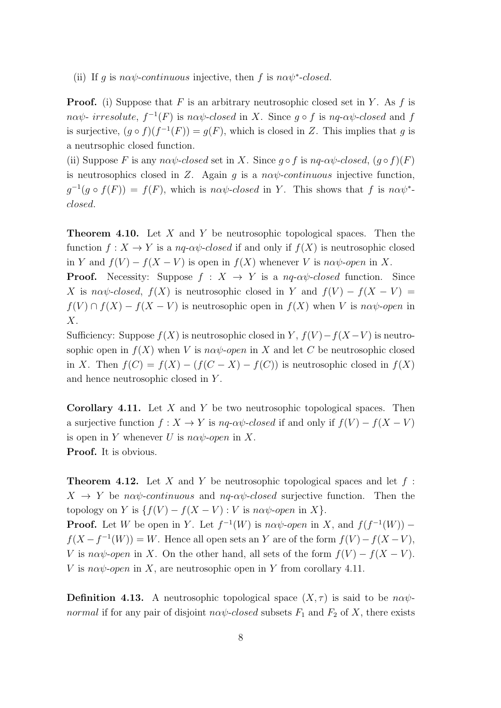(ii) If g is n $\alpha\psi$ -continuous injective, then f is n $\alpha\psi^*$ -closed.

**Proof.** (i) Suppose that F is an arbitrary neutrosophic closed set in Y. As f is  $n\alpha\psi$ - irresolute,  $f^{-1}(F)$  is  $n\alpha\psi$ -closed in X. Since  $g \circ f$  is  $nq$ - $\alpha\psi$ -closed and f is surjective,  $(g \circ f)(f^{-1}(F)) = g(F)$ , which is closed in Z. This implies that g is a neutrsophic closed function.

(ii) Suppose F is any na $\psi$ -closed set in X. Since  $g \circ f$  is nq-a $\psi$ -closed,  $(g \circ f)(F)$ is neutrosophics closed in Z. Again g is a  $n\alpha\psi$ -continuous injective function,  $g^{-1}(g \circ f(F)) = f(F)$ , which is nav-closed in Y. This shows that f is nav<sup>\*</sup>closed.

**Theorem 4.10.** Let X and Y be neutrosophic topological spaces. Then the function  $f: X \to Y$  is a  $nq$ - $\alpha\psi$ -closed if and only if  $f(X)$  is neutrosophic closed in Y and  $f(V) - f(X - V)$  is open in  $f(X)$  whenever V is naw-open in X.

**Proof.** Necessity: Suppose  $f : X \rightarrow Y$  is a nq- $\alpha\psi$ -closed function. Since X is nav $\psi$ -closed,  $f(X)$  is neutrosophic closed in Y and  $f(V) - f(X - V) =$  $f(V) \cap f(X) - f(X - V)$  is neutrosophic open in  $f(X)$  when V is naw-open in  $X$ .

Sufficiency: Suppose  $f(X)$  is neutrosophic closed in Y,  $f(V) - f(X - V)$  is neutrosophic open in  $f(X)$  when V is n $\alpha\psi$ -open in X and let C be neutrosophic closed in X. Then  $f(C) = f(X) - (f(C - X) - f(C))$  is neutrosophic closed in  $f(X)$ and hence neutrosophic closed in Y .

**Corollary 4.11.** Let  $X$  and  $Y$  be two neutrosophic topological spaces. Then a surjective function  $f: X \to Y$  is  $nq$ - $\alpha\psi$ -closed if and only if  $f(V) - f(X - V)$ is open in Y whenever U is  $n\alpha\psi$ -open in X. Proof. It is obvious.

**Theorem 4.12.** Let X and Y be neutrosophic topological spaces and let  $f$ :  $X \rightarrow Y$  be naw-continuous and nq-aw-closed surjective function. Then the topology on Y is  $\{f(V) - f(X - V) : V$  is na $\psi$ -open in X $\}$ . **Proof.** Let W be open in Y. Let  $f^{-1}(W)$  is  $n\alpha\psi$ -open in X, and  $f(f^{-1}(W))$  –

 $f(X - f^{-1}(W)) = W$ . Hence all open sets an Y are of the form  $f(V) - f(X - V)$ , V is na $\psi$ -open in X. On the other hand, all sets of the form  $f(V) - f(X - V)$ . V is n $\alpha\psi$ -open in X, are neutrosophic open in Y from corollary 4.11.

**Definition 4.13.** A neutrosophic topological space  $(X, \tau)$  is said to be na $\psi$ normal if for any pair of disjoint  $n\alpha\psi$ -closed subsets  $F_1$  and  $F_2$  of X, there exists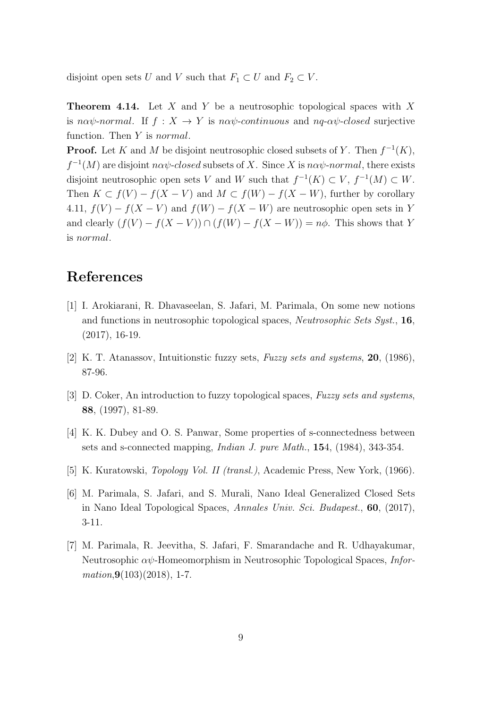disjoint open sets U and V such that  $F_1 \subset U$  and  $F_2 \subset V$ .

**Theorem 4.14.** Let X and Y be a neutrosophic topological spaces with X is nαψ-normal. If  $f: X \to Y$  is nαψ-continuous and nq-αψ-closed surjective function. Then Y is *normal*.

**Proof.** Let K and M be disjoint neutrosophic closed subsets of Y. Then  $f^{-1}(K)$ ,  $f^{-1}(M)$  are disjoint  $n\alpha\psi$ -closed subsets of X. Since X is  $n\alpha\psi$ -normal, there exists disjoint neutrosophic open sets V and W such that  $f^{-1}(K) \subset V$ ,  $f^{-1}(M) \subset W$ . Then  $K \subset f(V) - f(X - V)$  and  $M \subset f(W) - f(X - W)$ , further by corollary 4.11,  $f(V) - f(X - V)$  and  $f(W) - f(X - W)$  are neutrosophic open sets in Y and clearly  $(f(V) - f(X - V)) \cap (f(W) - f(X - W)) = n\phi$ . This shows that Y is normal.

# References

- [1] I. Arokiarani, R. Dhavaseelan, S. Jafari, M. Parimala, On some new notions and functions in neutrosophic topological spaces, Neutrosophic Sets Syst., 16, (2017), 16-19.
- [2] K. T. Atanassov, Intuitionstic fuzzy sets, Fuzzy sets and systems, **20**, (1986), 87-96.
- [3] D. Coker, An introduction to fuzzy topological spaces, Fuzzy sets and systems, 88, (1997), 81-89.
- [4] K. K. Dubey and O. S. Panwar, Some properties of s-connectedness between sets and s-connected mapping, *Indian J. pure Math.*, **15**4, (1984), 343-354.
- [5] K. Kuratowski, Topology Vol. II (transl.), Academic Press, New York, (1966).
- [6] M. Parimala, S. Jafari, and S. Murali, Nano Ideal Generalized Closed Sets in Nano Ideal Topological Spaces, Annales Univ. Sci. Budapest., 60, (2017), 3-11.
- [7] M. Parimala, R. Jeevitha, S. Jafari, F. Smarandache and R. Udhayakumar, Neutrosophic  $\alpha\psi$ -Homeomorphism in Neutrosophic Topological Spaces, *Infor* $mation,9(103)(2018), 1-7.$